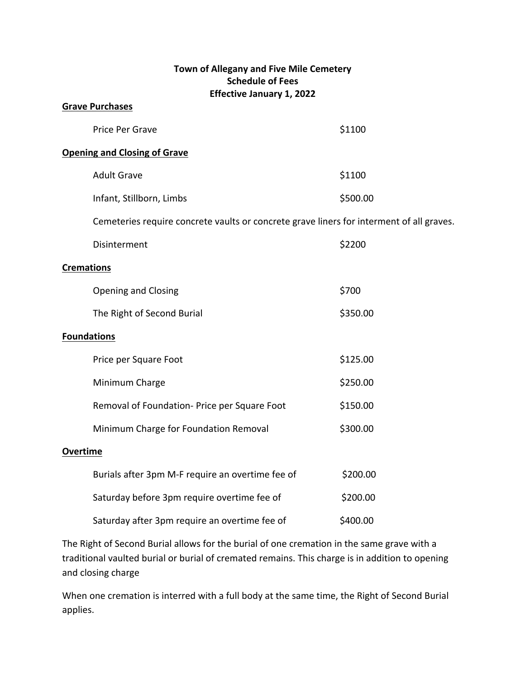## **Town of Allegany and Five Mile Cemetery Schedule of Fees Effective January 1, 2022**

| <b>Grave Purchases</b>                                                                   |          |
|------------------------------------------------------------------------------------------|----------|
| Price Per Grave                                                                          | \$1100   |
| <b>Opening and Closing of Grave</b>                                                      |          |
| <b>Adult Grave</b>                                                                       | \$1100   |
| Infant, Stillborn, Limbs                                                                 | \$500.00 |
| Cemeteries require concrete vaults or concrete grave liners for interment of all graves. |          |
| Disinterment                                                                             | \$2200   |
| <b>Cremations</b>                                                                        |          |
| <b>Opening and Closing</b>                                                               | \$700    |
| The Right of Second Burial                                                               | \$350.00 |
| <b>Foundations</b>                                                                       |          |
| Price per Square Foot                                                                    | \$125.00 |
| Minimum Charge                                                                           | \$250.00 |
| Removal of Foundation- Price per Square Foot                                             | \$150.00 |
| Minimum Charge for Foundation Removal                                                    | \$300.00 |
| <b>Overtime</b>                                                                          |          |
| Burials after 3pm M-F require an overtime fee of                                         | \$200.00 |
| Saturday before 3pm require overtime fee of                                              | \$200.00 |
| Saturday after 3pm require an overtime fee of                                            | \$400.00 |

The Right of Second Burial allows for the burial of one cremation in the same grave with a traditional vaulted burial or burial of cremated remains. This charge is in addition to opening and closing charge

When one cremation is interred with a full body at the same time, the Right of Second Burial applies.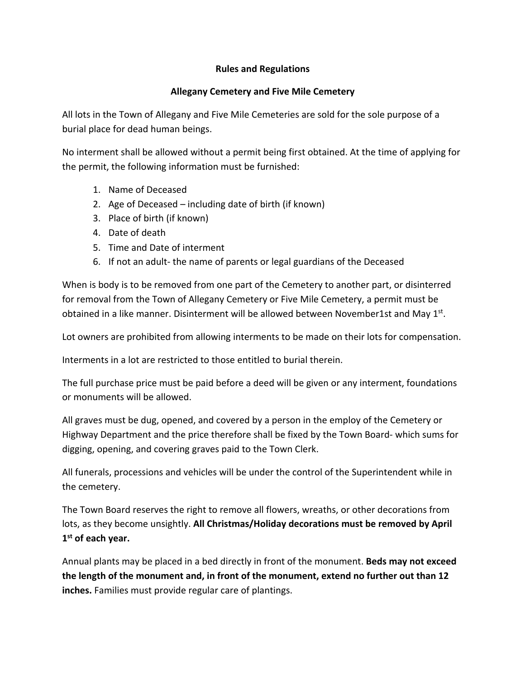## **Rules and Regulations**

## **Allegany Cemetery and Five Mile Cemetery**

All lots in the Town of Allegany and Five Mile Cemeteries are sold for the sole purpose of a burial place for dead human beings.

No interment shall be allowed without a permit being first obtained. At the time of applying for the permit, the following information must be furnished:

- 1. Name of Deceased
- 2. Age of Deceased including date of birth (if known)
- 3. Place of birth (if known)
- 4. Date of death
- 5. Time and Date of interment
- 6. If not an adult- the name of parents or legal guardians of the Deceased

When is body is to be removed from one part of the Cemetery to another part, or disinterred for removal from the Town of Allegany Cemetery or Five Mile Cemetery, a permit must be obtained in a like manner. Disinterment will be allowed between November1st and May  $1^{st}$ .

Lot owners are prohibited from allowing interments to be made on their lots for compensation.

Interments in a lot are restricted to those entitled to burial therein.

The full purchase price must be paid before a deed will be given or any interment, foundations or monuments will be allowed.

All graves must be dug, opened, and covered by a person in the employ of the Cemetery or Highway Department and the price therefore shall be fixed by the Town Board- which sums for digging, opening, and covering graves paid to the Town Clerk.

All funerals, processions and vehicles will be under the control of the Superintendent while in the cemetery.

The Town Board reserves the right to remove all flowers, wreaths, or other decorations from lots, as they become unsightly. **All Christmas/Holiday decorations must be removed by April 1st of each year.**

Annual plants may be placed in a bed directly in front of the monument. **Beds may not exceed the length of the monument and, in front of the monument, extend no further out than 12 inches.** Families must provide regular care of plantings.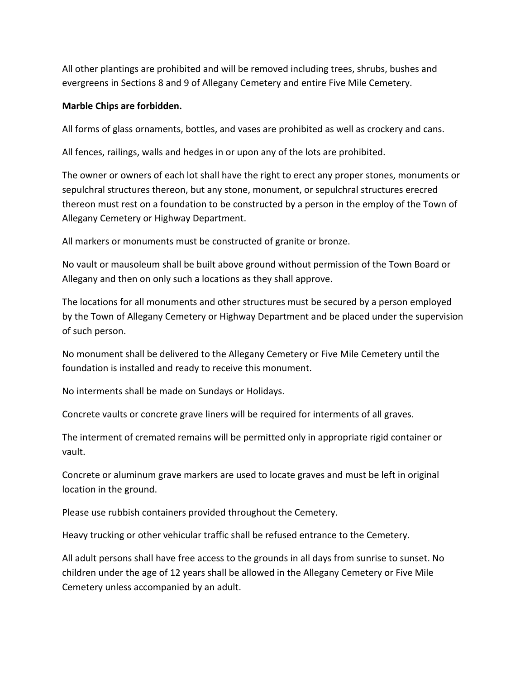All other plantings are prohibited and will be removed including trees, shrubs, bushes and evergreens in Sections 8 and 9 of Allegany Cemetery and entire Five Mile Cemetery.

## **Marble Chips are forbidden.**

All forms of glass ornaments, bottles, and vases are prohibited as well as crockery and cans.

All fences, railings, walls and hedges in or upon any of the lots are prohibited.

The owner or owners of each lot shall have the right to erect any proper stones, monuments or sepulchral structures thereon, but any stone, monument, or sepulchral structures erecred thereon must rest on a foundation to be constructed by a person in the employ of the Town of Allegany Cemetery or Highway Department.

All markers or monuments must be constructed of granite or bronze.

No vault or mausoleum shall be built above ground without permission of the Town Board or Allegany and then on only such a locations as they shall approve.

The locations for all monuments and other structures must be secured by a person employed by the Town of Allegany Cemetery or Highway Department and be placed under the supervision of such person.

No monument shall be delivered to the Allegany Cemetery or Five Mile Cemetery until the foundation is installed and ready to receive this monument.

No interments shall be made on Sundays or Holidays.

Concrete vaults or concrete grave liners will be required for interments of all graves.

The interment of cremated remains will be permitted only in appropriate rigid container or vault.

Concrete or aluminum grave markers are used to locate graves and must be left in original location in the ground.

Please use rubbish containers provided throughout the Cemetery.

Heavy trucking or other vehicular traffic shall be refused entrance to the Cemetery.

All adult persons shall have free access to the grounds in all days from sunrise to sunset. No children under the age of 12 years shall be allowed in the Allegany Cemetery or Five Mile Cemetery unless accompanied by an adult.